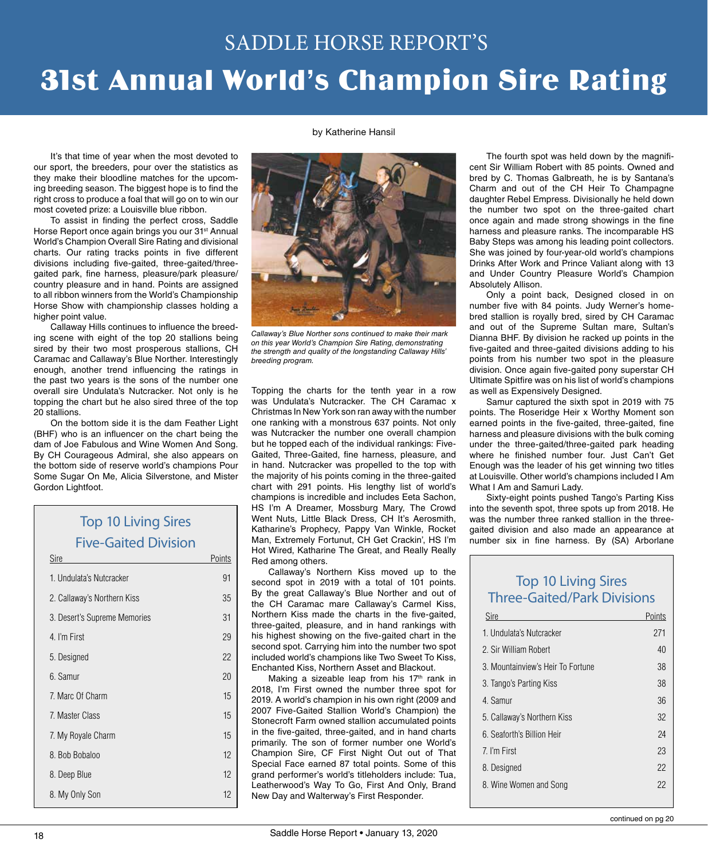# 31st Annual World's Champion Sire Rating SADDLE HORSE REPORT'S

by Katherine Hansil

It's that time of year when the most devoted to our sport, the breeders, pour over the statistics as they make their bloodline matches for the upcoming breeding season. The biggest hope is to find the right cross to produce a foal that will go on to win our most coveted prize: a Louisville blue ribbon.

To assist in finding the perfect cross, Saddle Horse Report once again brings you our 31<sup>st</sup> Annual World's Champion Overall Sire Rating and divisional charts. Our rating tracks points in five different divisions including five-gaited, three-gaited/threegaited park, fine harness, pleasure/park pleasure/ country pleasure and in hand. Points are assigned to all ribbon winners from the World's Championship Horse Show with championship classes holding a higher point value.

Callaway Hills continues to influence the breeding scene with eight of the top 20 stallions being sired by their two most prosperous stallions, CH Caramac and Callaway's Blue Norther. Interestingly enough, another trend influencing the ratings in the past two years is the sons of the number one overall sire Undulata's Nutcracker. Not only is he topping the chart but he also sired three of the top 20 stallions.

On the bottom side it is the dam Feather Light (BHF) who is an influencer on the chart being the dam of Joe Fabulous and Wine Women And Song. By CH Courageous Admiral, she also appears on the bottom side of reserve world's champions Pour Some Sugar On Me, Alicia Silverstone, and Mister Gordon Lightfoot.

## Top 10 Living Sires Five-Gaited Division Sire Points

| 1. Undulata's Nutcracker     | 91 |
|------------------------------|----|
| 2. Callaway's Northern Kiss  | 35 |
| 3. Desert's Supreme Memories | 31 |
| 4. I'm First                 | 29 |
| 5. Designed                  | 22 |
| 6. Samur                     | 20 |
| 7. Marc Of Charm             | 15 |
| 7. Master Class              | 15 |
| 7. My Royale Charm           | 15 |
| 8. Bob Bobaloo               | 12 |
| 8. Deep Blue                 | 12 |
| 8. My Only Son               | 12 |
|                              |    |



*Callaway's Blue Norther sons continued to make their mark on this year World's Champion Sire Rating, demonstrating the strength and quality of the longstanding Callaway Hills' breeding program.* 

Topping the charts for the tenth year in a row was Undulata's Nutcracker. The CH Caramac x Christmas In New York son ran away with the number one ranking with a monstrous 637 points. Not only was Nutcracker the number one overall champion but he topped each of the individual rankings: Five-Gaited, Three-Gaited, fine harness, pleasure, and in hand. Nutcracker was propelled to the top with the majority of his points coming in the three-gaited chart with 291 points. His lengthy list of world's champions is incredible and includes Eeta Sachon, HS I'm A Dreamer, Mossburg Mary, The Crowd Went Nuts, Little Black Dress, CH It's Aerosmith, Katharine's Prophecy, Pappy Van Winkle, Rocket Man, Extremely Fortunut, CH Get Crackin', HS I'm Hot Wired, Katharine The Great, and Really Really Red among others.

Callaway's Northern Kiss moved up to the second spot in 2019 with a total of 101 points. By the great Callaway's Blue Norther and out of the CH Caramac mare Callaway's Carmel Kiss, Northern Kiss made the charts in the five-gaited, three-gaited, pleasure, and in hand rankings with his highest showing on the five-gaited chart in the second spot. Carrying him into the number two spot included world's champions like Two Sweet To Kiss, Enchanted Kiss, Northern Asset and Blackout.

Making a sizeable leap from his  $17<sup>th</sup>$  rank in 2018, I'm First owned the number three spot for 2019. A world's champion in his own right (2009 and 2007 Five-Gaited Stallion World's Champion) the Stonecroft Farm owned stallion accumulated points in the five-gaited, three-gaited, and in hand charts primarily. The son of former number one World's Champion Sire, CF First Night Out out of That Special Face earned 87 total points. Some of this grand performer's world's titleholders include: Tua, Leatherwood's Way To Go, First And Only, Brand New Day and Walterway's First Responder.

The fourth spot was held down by the magnificent Sir William Robert with 85 points. Owned and bred by C. Thomas Galbreath, he is by Santana's Charm and out of the CH Heir To Champagne daughter Rebel Empress. Divisionally he held down the number two spot on the three-gaited chart once again and made strong showings in the fine harness and pleasure ranks. The incomparable HS Baby Steps was among his leading point collectors. She was joined by four-year-old world's champions Drinks After Work and Prince Valiant along with 13 and Under Country Pleasure World's Champion Absolutely Allison.

Only a point back, Designed closed in on number five with 84 points. Judy Werner's homebred stallion is royally bred, sired by CH Caramac and out of the Supreme Sultan mare, Sultan's Dianna BHF. By division he racked up points in the five-gaited and three-gaited divisions adding to his points from his number two spot in the pleasure division. Once again five-gaited pony superstar CH Ultimate Spitfire was on his list of world's champions as well as Expensively Designed.

Samur captured the sixth spot in 2019 with 75 points. The Roseridge Heir x Worthy Moment son earned points in the five-gaited, three-gaited, fine harness and pleasure divisions with the bulk coming under the three-gaited/three-gaited park heading where he finished number four. Just Can't Get Enough was the leader of his get winning two titles at Louisville. Other world's champions included I Am What I Am and Samuri Lady.

Sixty-eight points pushed Tango's Parting Kiss into the seventh spot, three spots up from 2018. He was the number three ranked stallion in the threegaited division and also made an appearance at number six in fine harness. By (SA) Arborlane

## Top 10 Living Sires Three-Gaited/Park Divisions

| Sire                              | Points |
|-----------------------------------|--------|
| 1. Undulata's Nutcracker          | 271    |
| 2. Sir William Robert             | 40     |
| 3. Mountainview's Heir To Fortune | 38     |
| 3. Tango's Parting Kiss           | 38     |
| 4. Samur                          | 36     |
| 5. Callaway's Northern Kiss       | 32     |
| 6. Seaforth's Billion Heir        | 24     |
| 7. I'm First                      | 23     |
| 8. Designed                       | 22     |
| 8. Wine Women and Song            | 22     |
|                                   |        |